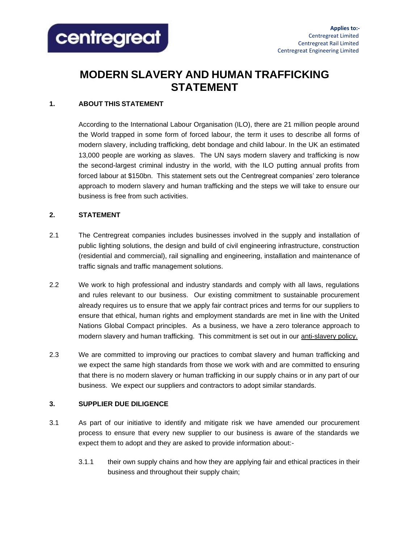

# **MODERN SLAVERY AND HUMAN TRAFFICKING STATEMENT**

# **1. ABOUT THIS STATEMENT**

According to the International Labour Organisation (ILO), there are 21 million people around the World trapped in some form of forced labour, the term it uses to describe all forms of modern slavery, including trafficking, debt bondage and child labour. In the UK an estimated 13,000 people are working as slaves. The UN says modern slavery and trafficking is now the second-largest criminal industry in the world, with the ILO putting annual profits from forced labour at \$150bn. This statement sets out the Centregreat companies' zero tolerance approach to modern slavery and human trafficking and the steps we will take to ensure our business is free from such activities.

# **2. STATEMENT**

- 2.1 The Centregreat companies includes businesses involved in the supply and installation of public lighting solutions, the design and build of civil engineering infrastructure, construction (residential and commercial), rail signalling and engineering, installation and maintenance of traffic signals and traffic management solutions.
- 2.2 We work to high professional and industry standards and comply with all laws, regulations and rules relevant to our business. Our existing commitment to sustainable procurement already requires us to ensure that we apply fair contract prices and terms for our suppliers to ensure that ethical, human rights and employment standards are met in line with the United Nations Global Compact principles. As a business, we have a zero tolerance approach to modern slavery and human trafficking. This commitment is set out in our anti-slavery policy.
- 2.3 We are committed to improving our practices to combat slavery and human trafficking and we expect the same high standards from those we work with and are committed to ensuring that there is no modern slavery or human trafficking in our supply chains or in any part of our business. We expect our suppliers and contractors to adopt similar standards.

## **3. SUPPLIER DUE DILIGENCE**

- 3.1 As part of our initiative to identify and mitigate risk we have amended our procurement process to ensure that every new supplier to our business is aware of the standards we expect them to adopt and they are asked to provide information about:-
	- 3.1.1 their own supply chains and how they are applying fair and ethical practices in their business and throughout their supply chain;